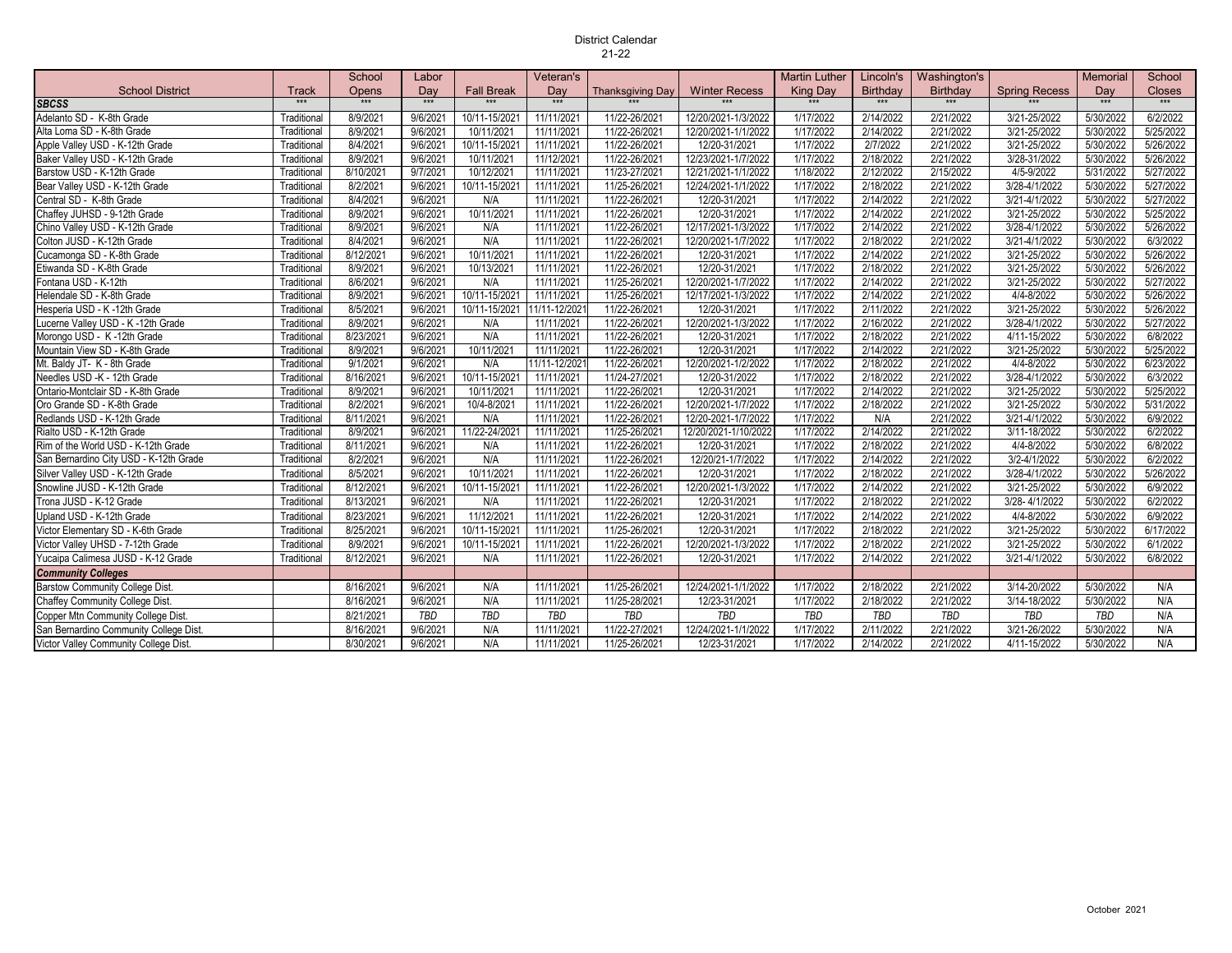## District Calendar 21-22

|                                        |                   | School    | Labor      |                     | Veteran's    |                  |                      | <b>Martin Luther</b> | Lincoln's              | Washington's    |                      | <b>Memorial</b> | School        |
|----------------------------------------|-------------------|-----------|------------|---------------------|--------------|------------------|----------------------|----------------------|------------------------|-----------------|----------------------|-----------------|---------------|
| <b>School District</b>                 | Track             | Opens     | Dav        | <b>Fall Break</b>   | Dav          | Thanksgiving Day | <b>Winter Recess</b> | <b>King Day</b>      | <b>Birthdav</b>        | <b>Birthdav</b> | <b>Spring Recess</b> | Dav             | <b>Closes</b> |
| <b>SBCSS</b>                           | $\star\star\star$ | $***$     | $***$      | $\star \star \star$ | $***$        | $***$            | $***$                | $***$                | $\star \star \star$    | $***$           | $***$                | $***$           | $***$         |
| Adelanto SD - K-8th Grade              | Traditional       | 8/9/2021  | 9/6/202    | 10/11-15/2021       | 11/11/2021   | 11/22-26/2021    | 12/20/2021-1/3/2022  | 1/17/2022            | 2/14/2022              | 2/21/2022       | 3/21-25/2022         | 5/30/2022       | 6/2/2022      |
| Alta Loma SD - K-8th Grade             | Traditional       | 8/9/2021  | 9/6/2021   | 10/11/2021          | 11/11/2021   | 11/22-26/2021    | 12/20/2021-1/1/2022  | 1/17/2022            | 2/14/2022              | 2/21/2022       | 3/21-25/2022         | 5/30/2022       | 5/25/2022     |
| Apple Valley USD - K-12th Grade        | Traditional       | 8/4/2021  | 9/6/2021   | 10/11-15/202        | 11/11/2021   | 11/22-26/2021    | 12/20-31/2021        | 1/17/2022            | 2/7/2022               | 2/21/2022       | 3/21-25/2022         | 5/30/2022       | 5/26/2022     |
| Baker Valley USD - K-12th Grade        | Traditional       | 8/9/2021  | 9/6/2021   | 10/11/2021          | 11/12/2021   | 11/22-26/2021    | 12/23/2021-1/7/2022  | 1/17/2022            | 2/18/2022              | 2/21/2022       | 3/28-31/2022         | 5/30/2022       | 5/26/2022     |
| Barstow USD - K-12th Grade             | Traditional       | 8/10/2021 | 9/7/2021   | 10/12/2021          | 11/11/2021   | 11/23-27/2021    | 12/21/2021-1/1/2022  | 1/18/2022            | 2/12/2022              | 2/15/2022       | 4/5-9/2022           | 5/31/2022       | 5/27/2022     |
| Bear Valley USD - K-12th Grade         | Traditional       | 8/2/2021  | 9/6/2021   | 10/11-15/202        | 11/11/2021   | 11/25-26/2021    | 12/24/2021-1/1/2022  | 1/17/2022            | 2/18/2022              | 2/21/2022       | 3/28-4/1/2022        | 5/30/2022       | 5/27/2022     |
| Central SD - K-8th Grade               | Traditional       | 8/4/2021  | 9/6/2021   | N/A                 | 11/11/2021   | 11/22-26/2021    | 12/20-31/2021        | 1/17/2022            | 2/14/2022              | 2/21/2022       | 3/21-4/1/2022        | 5/30/2022       | 5/27/2022     |
| Chaffey JUHSD - 9-12th Grade           | Traditional       | 8/9/2021  | 9/6/2021   | 10/11/2021          | 11/11/2021   | 11/22-26/2021    | 12/20-31/2021        | 1/17/2022            | 2/14/2022              | 2/21/2022       | 3/21-25/2022         | 5/30/2022       | 5/25/2022     |
| Chino Valley USD - K-12th Grade        | Traditional       | 8/9/2021  | 9/6/2021   | N/A                 | 11/11/2021   | 11/22-26/2021    | 12/17/2021-1/3/2022  | 1/17/2022            | 2/14/2022              | 2/21/2022       | 3/28-4/1/2022        | 5/30/2022       | 5/26/2022     |
| Colton JUSD - K-12th Grade             | Traditional       | 8/4/2021  | 9/6/2021   | N/A                 | 11/11/2021   | 11/22-26/2021    | 12/20/2021-1/7/2022  | 1/17/2022            | 2/18/2022              | 2/21/2022       | 3/21-4/1/2022        | 5/30/2022       | 6/3/2022      |
| Cucamonga SD - K-8th Grade             | Traditional       | 8/12/2021 | 9/6/2021   | 10/11/2021          | 11/11/2021   | 11/22-26/2021    | 12/20-31/2021        | 1/17/2022            | 2/14/2022              | 2/21/2022       | 3/21-25/2022         | 5/30/2022       | 5/26/2022     |
| Etiwanda SD - K-8th Grade              | Traditional       | 8/9/2021  | 9/6/2021   | 10/13/2021          | 11/11/2021   | 11/22-26/2021    | 12/20-31/2021        | 1/17/2022            | 2/18/2022              | 2/21/2022       | 3/21-25/2022         | 5/30/2022       | 5/26/2022     |
| Fontana USD - K-12th                   | Traditional       | 8/6/2021  | 9/6/2021   | N/A                 | 11/11/2021   | 11/25-26/2021    | 12/20/2021-1/7/2022  | 1/17/2022            | 2/14/2022              | 2/21/2022       | 3/21-25/2022         | 5/30/2022       | 5/27/2022     |
| Helendale SD - K-8th Grade             | Traditional       | 8/9/2021  | 9/6/2021   | 10/11-15/202        | 11/11/2021   | 11/25-26/2021    | 12/17/2021-1/3/2022  | 1/17/2022            | 2/14/2022              | 2/21/2022       | 4/4-8/2022           | 5/30/2022       | 5/26/2022     |
| Hesperia USD - K -12th Grade           | Traditional       | 8/5/2021  | 9/6/2021   | 10/11-15/2021       | 11/11-12/202 | 11/22-26/2021    | 12/20-31/2021        | 1/17/2022            | 2/11/2022              | 2/21/2022       | 3/21-25/2022         | 5/30/2022       | 5/26/2022     |
| Lucerne Valley USD - K -12th Grade     | Traditional       | 8/9/2021  | 9/6/2021   | N/A                 | 11/11/2021   | 11/22-26/2021    | 12/20/2021-1/3/2022  | 1/17/2022            | 2/16/2022              | 2/21/2022       | 3/28-4/1/2022        | 5/30/2022       | 5/27/2022     |
| Morongo USD - K -12th Grade            | Traditional       | 8/23/2021 | 9/6/2021   | N/A                 | 11/11/2021   | 11/22-26/2021    | 12/20-31/2021        | 1/17/2022            | 2/18/2022              | 2/21/2022       | 4/11-15/2022         | 5/30/2022       | 6/8/2022      |
| Mountain View SD - K-8th Grade         | Traditional       | 8/9/2021  | 9/6/2021   | 10/11/2021          | 11/11/2021   | 11/22-26/2021    | 12/20-31/2021        | 1/17/2022            | 2/14/2022              | 2/21/2022       | 3/21-25/2022         | 5/30/2022       | 5/25/2022     |
| Mt. Baldy JT- K - 8th Grade            | Traditional       | 9/1/2021  | 9/6/2021   | N/A                 | 11/11-12/202 | 11/22-26/2021    | 12/20/2021-1/2/2022  | 1/17/2022            | 2/18/2022              | 2/21/2022       | 4/4-8/2022           | 5/30/2022       | 6/23/2022     |
| Needles USD -K - 12th Grade            | Traditional       | 8/16/2021 | 9/6/2021   | 10/11-15/2021       | 11/11/2021   | 11/24-27/2021    | 12/20-31/2022        | 1/17/2022            | 2/18/2022              | 2/21/2022       | 3/28-4/1/2022        | 5/30/2022       | 6/3/2022      |
| Ontario-Montclair SD - K-8th Grade     | Traditional       | 8/9/2021  | 9/6/2021   | 10/11/2021          | 11/11/2021   | 11/22-26/2021    | 12/20-31/2021        | 1/17/2022            | $\overline{2/14/2022}$ | 2/21/2022       | 3/21-25/2022         | 5/30/2022       | 5/25/2022     |
| Oro Grande SD - K-8th Grade            | Traditional       | 8/2/2021  | 9/6/2021   | 10/4-8/2021         | 11/11/2021   | 11/22-26/2021    | 12/20/2021-1/7/2022  | 1/17/2022            | 2/18/2022              | 2/21/2022       | 3/21-25/2022         | 5/30/2022       | 5/31/2022     |
| Redlands USD - K-12th Grade            | Traditional       | 8/11/2021 | 9/6/2021   | N/A                 | 11/11/2021   | 11/22-26/2021    | 12/20-2021-1/7/2022  | 1/17/2022            | N/A                    | 2/21/2022       | 3/21-4/1/2022        | 5/30/2022       | 6/9/2022      |
| Rialto USD - K-12th Grade              | Traditional       | 8/9/2021  | 9/6/2021   | 11/22-24/2021       | 11/11/2021   | 11/25-26/2021    | 12/20/2021-1/10/2022 | 1/17/2022            | 2/14/2022              | 2/21/2022       | 3/11-18/2022         | 5/30/2022       | 6/2/2022      |
| Rim of the World USD - K-12th Grade    | Traditional       | 8/11/2021 | 9/6/2021   | N/A                 | 11/11/2021   | 11/22-26/2021    | 12/20-31/2021        | 1/17/2022            | 2/18/2022              | 2/21/2022       | 4/4-8/2022           | 5/30/2022       | 6/8/2022      |
| San Bernardino City USD - K-12th Grade | Traditional       | 8/2/2021  | 9/6/2021   | N/A                 | 11/11/2021   | 11/22-26/2021    | 12/20/21-1/7/2022    | 1/17/2022            | 2/14/2022              | 2/21/2022       | 3/2-4/1/2022         | 5/30/2022       | 6/2/2022      |
| Silver Valley USD - K-12th Grade       | Traditional       | 8/5/2021  | 9/6/2021   | 10/11/2021          | 11/11/2021   | 11/22-26/2021    | 12/20-31/2021        | 1/17/2022            | 2/18/2022              | 2/21/2022       | 3/28-4/1/2022        | 5/30/2022       | 5/26/2022     |
| Snowline JUSD - K-12th Grade           | Traditional       | 8/12/2021 | 9/6/2021   | 10/11-15/202        | 11/11/2021   | 11/22-26/2021    | 12/20/2021-1/3/2022  | 1/17/2022            | 2/14/2022              | 2/21/2022       | 3/21-25/2022         | 5/30/2022       | 6/9/2022      |
| Trona JUSD - K-12 Grade                | Traditional       | 8/13/2021 | 9/6/2021   | N/A                 | 11/11/2021   | 11/22-26/2021    | 12/20-31/2021        | 1/17/2022            | 2/18/2022              | 2/21/2022       | 3/28-4/1/2022        | 5/30/2022       | 6/2/2022      |
| Upland USD - K-12th Grade              | Traditional       | 8/23/2021 | 9/6/2021   | 11/12/2021          | 11/11/2021   | 11/22-26/2021    | 12/20-31/2021        | 1/17/2022            | 2/14/2022              | 2/21/2022       | 4/4-8/2022           | 5/30/2022       | 6/9/2022      |
| Victor Elementary SD - K-6th Grade     | Traditional       | 8/25/2021 | 9/6/2021   | 10/11-15/202        | 11/11/2021   | 11/25-26/2021    | 12/20-31/2021        | 1/17/2022            | 2/18/2022              | 2/21/2022       | 3/21-25/2022         | 5/30/2022       | 6/17/2022     |
| Victor Valley UHSD - 7-12th Grade      | Traditional       | 8/9/2021  | 9/6/2021   | 10/11-15/2021       | 11/11/2021   | 11/22-26/2021    | 12/20/2021-1/3/2022  | 1/17/2022            | 2/18/2022              | 2/21/2022       | 3/21-25/2022         | 5/30/2022       | 6/1/2022      |
| Yucaipa Calimesa JUSD - K-12 Grade     | Traditional       | 8/12/2021 | 9/6/2021   | N/A                 | 11/11/2021   | 11/22-26/2021    | 12/20-31/2021        | 1/17/2022            | 2/14/2022              | 2/21/2022       | 3/21-4/1/2022        | 5/30/2022       | 6/8/2022      |
| <b>Community Colleges</b>              |                   |           |            |                     |              |                  |                      |                      |                        |                 |                      |                 |               |
| Barstow Community College Dist.        |                   | 8/16/2021 | 9/6/2021   | N/A                 | 11/11/2021   | 11/25-26/2021    | 12/24/2021-1/1/2022  | 1/17/2022            | 2/18/2022              | 2/21/2022       | 3/14-20/2022         | 5/30/2022       | N/A           |
| Chaffey Community College Dist.        |                   | 8/16/2021 | 9/6/2021   | N/A                 | 11/11/2021   | 11/25-28/2021    | 12/23-31/2021        | 1/17/2022            | 2/18/2022              | 2/21/2022       | 3/14-18/2022         | 5/30/2022       | N/A           |
| Copper Mtn Community College Dist.     |                   | 8/21/2021 | <b>TBD</b> | <b>TBD</b>          | TBD          | <b>TBD</b>       | <b>TBD</b>           | TBD                  | TBD                    | <b>TBD</b>      | <b>TBD</b>           | TBD             | N/A           |
| San Bernardino Community College Dist. |                   | 8/16/2021 | 9/6/2021   | N/A                 | 11/11/2021   | 11/22-27/2021    | 12/24/2021-1/1/2022  | 1/17/2022            | 2/11/2022              | 2/21/2022       | 3/21-26/2022         | 5/30/2022       | N/A           |
| Victor Valley Community College Dist.  |                   | 8/30/2021 | 9/6/2021   | N/A                 | 11/11/2021   | 11/25-26/2021    | 12/23-31/2021        | 1/17/2022            | 2/14/2022              | 2/21/2022       | 4/11-15/2022         | 5/30/2022       | N/A           |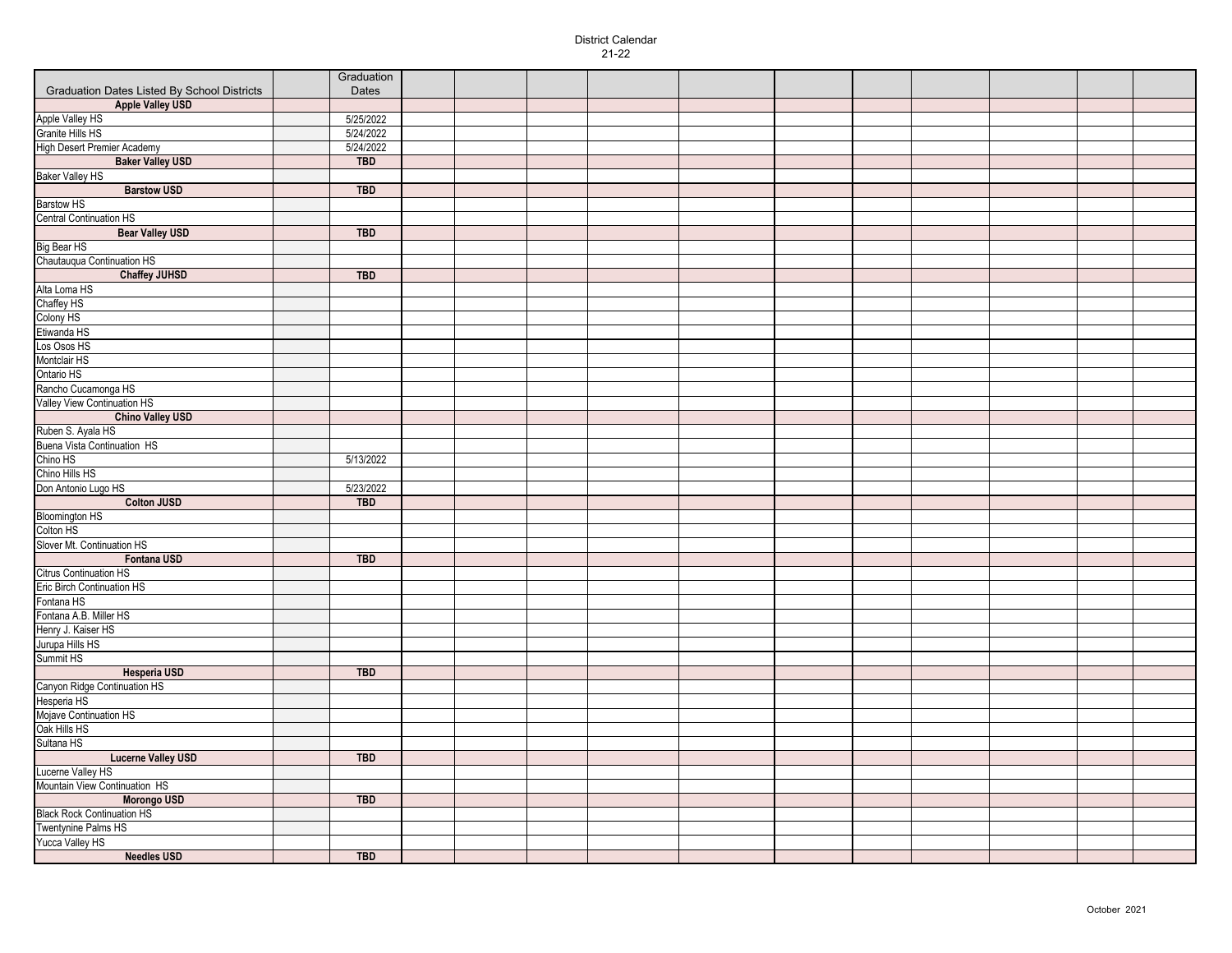## District Calendar 21-22

|                                                    | Graduation |  |  |  |  |  |  |
|----------------------------------------------------|------------|--|--|--|--|--|--|
| <b>Graduation Dates Listed By School Districts</b> | Dates      |  |  |  |  |  |  |
| <b>Apple Valley USD</b>                            |            |  |  |  |  |  |  |
| Apple Valley HS                                    | 5/25/2022  |  |  |  |  |  |  |
| Granite Hills HS                                   | 5/24/2022  |  |  |  |  |  |  |
| High Desert Premier Academy                        | 5/24/2022  |  |  |  |  |  |  |
| <b>Baker Valley USD</b>                            | <b>TBD</b> |  |  |  |  |  |  |
| <b>Baker Valley HS</b>                             |            |  |  |  |  |  |  |
| <b>Barstow USD</b>                                 | <b>TBD</b> |  |  |  |  |  |  |
| <b>Barstow HS</b>                                  |            |  |  |  |  |  |  |
| <b>Central Continuation HS</b>                     |            |  |  |  |  |  |  |
| <b>Bear Valley USD</b>                             | <b>TBD</b> |  |  |  |  |  |  |
| Big Bear HS                                        |            |  |  |  |  |  |  |
| Chautauqua Continuation HS                         |            |  |  |  |  |  |  |
|                                                    |            |  |  |  |  |  |  |
| <b>Chaffey JUHSD</b>                               | <b>TBD</b> |  |  |  |  |  |  |
| Alta Loma HS                                       |            |  |  |  |  |  |  |
| Chaffey HS                                         |            |  |  |  |  |  |  |
| Colony HS                                          |            |  |  |  |  |  |  |
| Etiwanda HS                                        |            |  |  |  |  |  |  |
| Los Osos HS                                        |            |  |  |  |  |  |  |
| Montclair HS                                       |            |  |  |  |  |  |  |
| Ontario HS                                         |            |  |  |  |  |  |  |
| Rancho Cucamonga HS                                |            |  |  |  |  |  |  |
| Valley View Continuation HS                        |            |  |  |  |  |  |  |
| <b>Chino Valley USD</b>                            |            |  |  |  |  |  |  |
| Ruben S. Ayala HS                                  |            |  |  |  |  |  |  |
| <b>Buena Vista Continuation HS</b>                 |            |  |  |  |  |  |  |
| Chino HS                                           | 5/13/2022  |  |  |  |  |  |  |
| Chino Hills HS                                     |            |  |  |  |  |  |  |
| Don Antonio Lugo HS                                | 5/23/2022  |  |  |  |  |  |  |
| <b>Colton JUSD</b>                                 | <b>TBD</b> |  |  |  |  |  |  |
| <b>Bloomington HS</b>                              |            |  |  |  |  |  |  |
| Colton HS                                          |            |  |  |  |  |  |  |
| Slover Mt. Continuation HS                         |            |  |  |  |  |  |  |
| Fontana USD                                        | <b>TBD</b> |  |  |  |  |  |  |
| Citrus Continuation HS                             |            |  |  |  |  |  |  |
| Eric Birch Continuation HS                         |            |  |  |  |  |  |  |
| Fontana HS                                         |            |  |  |  |  |  |  |
| Fontana A.B. Miller HS                             |            |  |  |  |  |  |  |
| Henry J. Kaiser HS                                 |            |  |  |  |  |  |  |
|                                                    |            |  |  |  |  |  |  |
| Jurupa Hills HS<br>Summit HS                       |            |  |  |  |  |  |  |
|                                                    |            |  |  |  |  |  |  |
| <b>Hesperia USD</b>                                | <b>TBD</b> |  |  |  |  |  |  |
| Canyon Ridge Continuation HS                       |            |  |  |  |  |  |  |
| Hesperia HS                                        |            |  |  |  |  |  |  |
| Mojave Continuation HS                             |            |  |  |  |  |  |  |
| Oak Hills HS                                       |            |  |  |  |  |  |  |
| Sultana HS                                         |            |  |  |  |  |  |  |
| <b>Lucerne Valley USD</b>                          | <b>TBD</b> |  |  |  |  |  |  |
| Lucerne Valley HS                                  |            |  |  |  |  |  |  |
| Mountain View Continuation HS                      |            |  |  |  |  |  |  |
| <b>Morongo USD</b>                                 | <b>TBD</b> |  |  |  |  |  |  |
| <b>Black Rock Continuation HS</b>                  |            |  |  |  |  |  |  |
| Twentynine Palms HS                                |            |  |  |  |  |  |  |
| Yucca Valley HS                                    |            |  |  |  |  |  |  |
| <b>Needles USD</b>                                 | <b>TBD</b> |  |  |  |  |  |  |